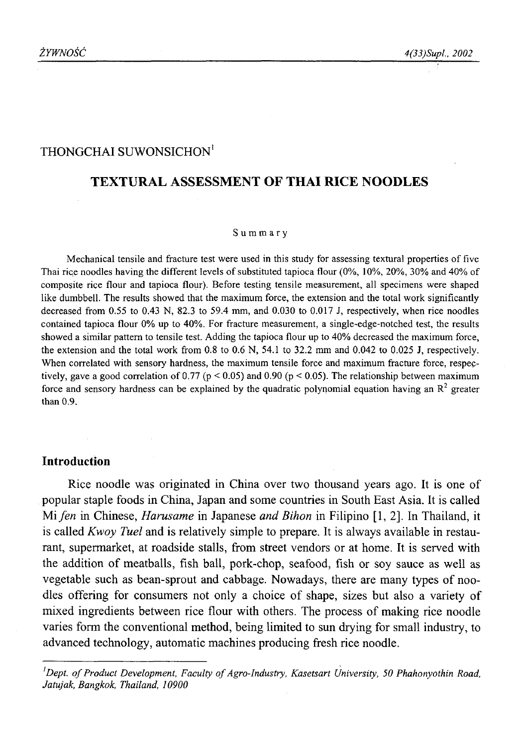# THONGCHAI SUWONSICHON<sup>1</sup>

# **TEXTURAL ASSESSMENT OF THAI RICE NOODLES**

#### S u m m a r y

Mechanical tensile and fracture test were used in this study for assessing textural properties of five Thai rice noodles having the different levels of substituted tapioca flour (0%, 10%, 20%, 30% and 40% of composite rice flour and tapioca flour). Before testing tensile measurement, all specimens were shaped like dumbbell. The results showed that the maximum force, the extension and the total work significantly decreased from 0.55 to 0.43 N, 82.3 to 59.4 mm, and 0.030 to 0.017 J, respectively, when rice noodles contained tapioca flour 0% up to 40%. For fracture measurement, a single-edge-notched test, the results showed a similar pattern to tensile test. Adding the tapioca flour up to 40% decreased the maximum force, the extension and the total work from 0.8 to 0.6 N, 54.1 to 32.2 mm and 0.042 to 0.025 J, respectively. When correlated with sensory hardness, the maximum tensile force and maximum fracture force, respectively, gave a good correlation of 0.77 ( $p < 0.05$ ) and 0.90 ( $p < 0.05$ ). The relationship between maximum force and sensory hardness can be explained by the quadratic polynomial equation having an  $\mathbb{R}^2$  greater than 0.9.

#### **Introduction**

Rice noodle was originated in China over two thousand years ago. It is one of popular staple foods in China, Japan and some countries in South East Asia. It is called Mi *fen* in Chinese, *Harusame* in Japanese *and Bihon* in Filipino [1, 2]. In Thailand, it is called *Kwoy Tuel* and is relatively simple to prepare. It is always available in restaurant, supermarket, at roadside stalls, from street vendors or at home. It is served with the addition of meatballs, fish ball, pork-chop, seafood, fish or soy sauce as well as vegetable such as bean-sprout and cabbage. Nowadays, there are many types of noodles offering for consumers not only a choice of shape, sizes but also a variety of mixed ingredients between rice flour with others. The process of making rice noodle varies form the conventional method, being limited to sun drying for small industry, to advanced technology, automatic machines producing fresh rice noodle.

<sup>&</sup>lt;sup>*1</sup>Dept. of Product Development, Faculty of Agro-Industry, Kasetsart University, 50 Phahonyothin Road,</sup> Jatujak, Bangkok, Thailand, 10900*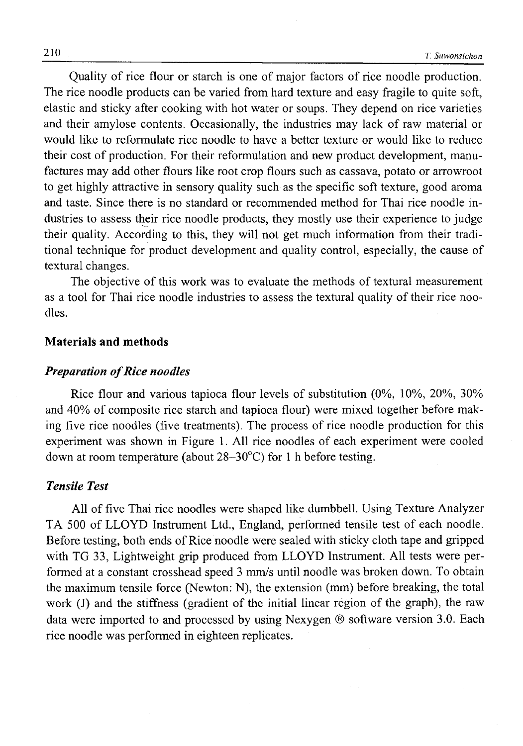Quality of rice flour or starch is one of major factors of rice noodle production. The rice noodle products can be varied from hard texture and easy fragile to quite soft, elastic and sticky after cooking with hot water or soups. They depend on rice varieties and their amylose contents. Occasionally, the industries may lack of raw material or would like to reformulate rice noodle to have a better texture or would like to reduce their cost of production. For their reformulation and new product development, manufactures may add other flours like root crop flours such as cassava, potato or arrowroot to get highly attractive in sensory quality such as the specific soft texture, good aroma and taste. Since there is no standard or recommended method for Thai rice noodle industries to assess their rice noodle products, they mostly use their experience to judge their quality. According to this, they will not get much information from their traditional technique for product development and quality control, especially, the cause of textural changes.

The objective of this work was to evaluate the methods of textural measurement as a tool for Thai rice noodle industries to assess the textural quality of their rice noodles.

### **Materials and methods**

#### *Preparation of Rice noodles*

Rice flour and various tapioca flour levels of substitution (0%, 10%, 20%, 30% and 40% of composite rice starch and tapioca flour) were mixed together before making five rice noodles (five treatments). The process of rice noodle production for this experiment was shown in Figure 1. All rice noodles of each experiment were cooled down at room temperature (about  $28-30^{\circ}$ C) for 1 h before testing.

### *Tensile Test*

All of five Thai rice noodles were shaped like dumbbell. Using Texture Analyzer TA 500 of LLOYD Instrument Ltd., England, performed tensile test of each noodle. Before testing, both ends of Rice noodle were sealed with sticky cloth tape and gripped with TG 33, Lightweight grip produced from LLOYD Instrument. All tests were performed at a constant crosshead speed 3 mm/s until noodle was broken down. To obtain the maximum tensile force (Newton: N), the extension (mm) before breaking, the total work (J) and the stiffness (gradient of the initial linear region of the graph), the raw data were imported to and processed by using Nexygen ® software version 3.0. Each rice noodle was performed in eighteen replicates.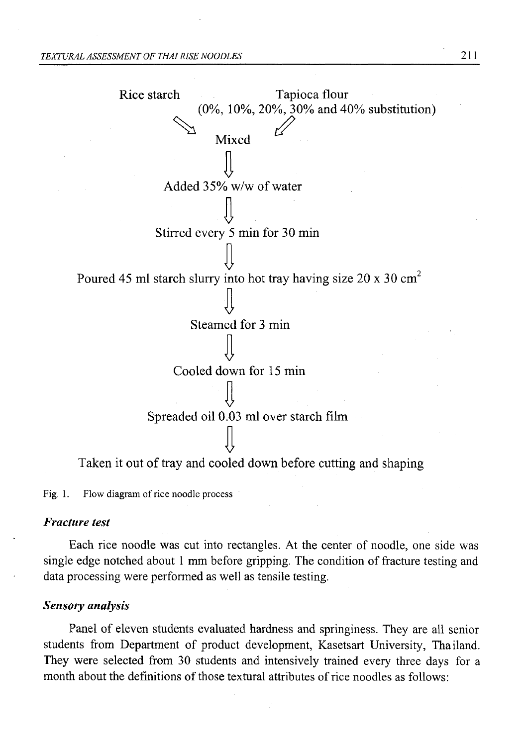

Fig. 1. Flow diagram of rice noodle process

#### *Fracture test*

Each rice noodle was cut into rectangles. At the center of noodle, one side was single edge notched about 1 mm before gripping. The condition of fracture testing and data processing were performed as well as tensile testing.

### *Sensory analysis*

Panel of eleven students evaluated hardness and springiness. They are all senior students from Department of product development, Kasetsart University, Thailand. They were selected from 30 students and intensively trained every three days for a month about the definitions of those textural attributes of rice noodles as follows: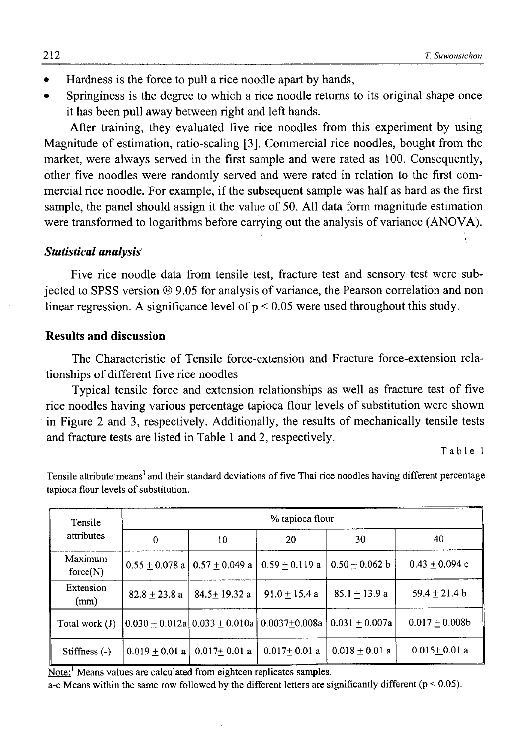- *•* Hardness is the force to pull a rice noodle apart by hands,
- Springiness is the degree to which a rice noodle returns to its original shape once it has been pull away between right and left hands.

After training, they evaluated five rice noodles from this experiment by using Magnitude of estimation, ratio-scaling [3]. Commercial rice noodles, bought from the market, were always served in the first sample and were rated as 100. Consequently, other five noodles were randomly served and were rated in relation to the first commercial rice noodle. For example, if the subsequent sample was half as hard as the first sample, the panel should assign it the value of 50. All data form magnitude estimation were transformed to logarithms before carrying out the analysis of variance (ANOVA).

#### *Statistical analysis*

Five rice noodle data from tensile test, fracture test and sensory test were subjected to SPSS version ® 9.05 for analysis of variance, the Pearson correlation and non linear regression. A significance level of  $p < 0.05$  were used throughout this study.

### **Results and discussion**

The Characteristic of Tensile force-extension and Fracture force-extension relationships of different five rice noodles

Typical tensile force and extension relationships as well as fracture test of five rice noodles having various percentage tapioca flour levels of substitution were shown in Figure 2 and 3, respectively. Additionally, the results of mechanically tensile tests and fracture tests are listed in Table 1 and 2, respectively.

Table 1

| Tensile             | % tapioca flour                             |                  |                                                                            |                  |                   |  |
|---------------------|---------------------------------------------|------------------|----------------------------------------------------------------------------|------------------|-------------------|--|
| attributes          | $\Omega$                                    | 10               | 20                                                                         | 30               | 40                |  |
| Maximum<br>force(N) | $0.55 \pm 0.078$ a $\vert 0.57 \pm 0.049$ a |                  | $0.59 + 0.119$ a                                                           | $0.50 + 0.062 b$ | $0.43 + 0.094$ c  |  |
| Extension<br>(mm)   | $82.8 + 23.8$ a                             | $84.5 + 19.32 a$ | $91.0 \pm 15.4$ a                                                          | $85.1 + 13.9 a$  | 59.4 $\pm$ 21.4 b |  |
| Total work $(J)$    |                                             |                  | $(0.030 \pm 0.012a) 0.033 \pm 0.010a) 0.0037 \pm 0.008a) 0.031 \pm 0.007a$ |                  | $0.017 + 0.008b$  |  |
| Stiffness (-)       | $0.019 \pm 0.01 a$                          | $0.017+0.01$ a   | $0.017+0.01$ a                                                             | $0.018 + 0.01$ a | $0.015 + 0.01$ a  |  |

Tensile attribute means' and their standard deviations of five Thai rice noodles having different percentage tapioca flour levels of substitution.

Note:<sup>1</sup> Means values are calculated from eighteen replicates samples.

a-c Means within the same row followed by the different letters are significantly different ( $p < 0.05$ ).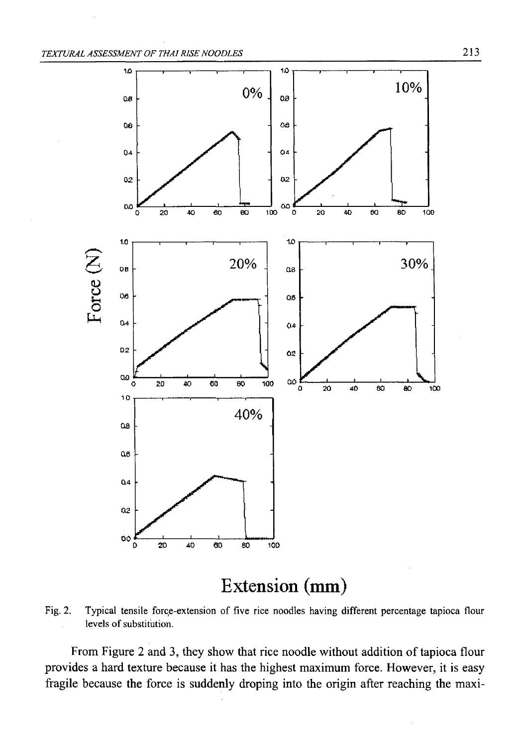

# **Extension (mm)**

Fig. 2. Typical tensile force-extension of five rice noodles having different percentage tapioca flour levels of substitution.

From Figure 2 and 3, they show that rice noodle without addition of tapioca flour provides a hard texture because it has the highest maximum force. However, it is easy fragile because the force is suddenly droping into the origin after reaching the maxi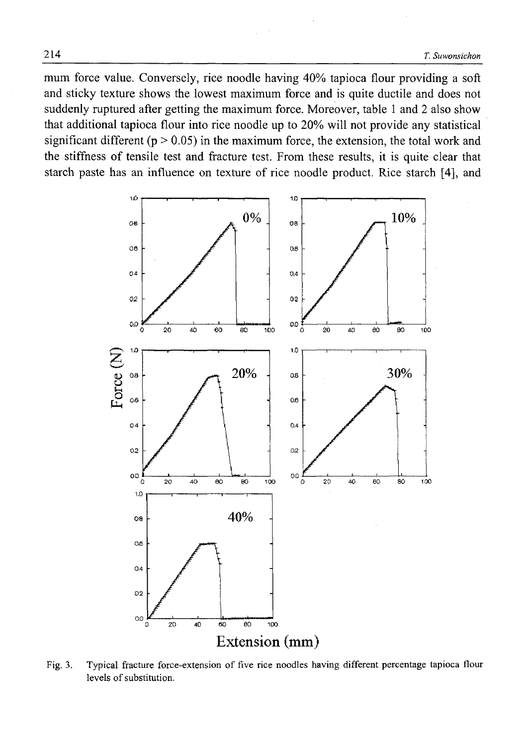mum force value. Conversely, rice noodle having 40% tapioca flour providing a soft and sticky texture shows the lowest maximum force and is quite ductile and does not suddenly ruptured after getting the maximum force. Moreover, table 1 and 2 also show that additional tapioca flour into rice noodle up to 20% will not provide any statistical significant different ( $p > 0.05$ ) in the maximum force, the extension, the total work and the stiffness of tensile test and fracture test. From these results, it is quite clear that starch paste has an influence on texture of rice noodle product. Rice starch [4], and



Fig. 3. Typical fracture force-extension of five rice noodles having different percentage tapioca flour levels of substitution.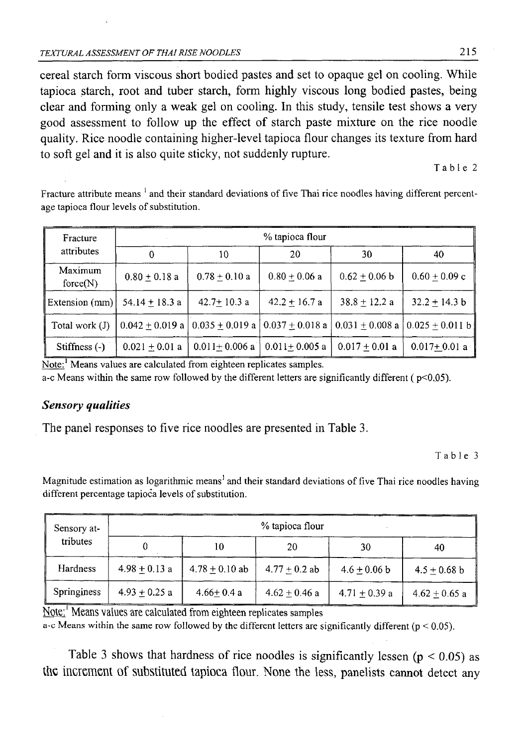cereal starch form viscous short bodied pastes and set to opaque gel on cooling. While tapioca starch, root and tuber starch, form highly viscous long bodied pastes, being clear and forming only a weak gel on cooling. In this study, tensile test shows a very good assessment to follow up the effect of starch paste mixture on the rice noodle quality. Rice noodle containing higher-level tapioca flour changes its texture from hard to soft gel and it is also quite sticky, not suddenly rupture.

Table 2

Fracture attribute means<sup>1</sup> and their standard deviations of five Thai rice noodles having different percentage tapioca flour levels of substitution.

| Fracture            | % tapioca flour   |                   |                   |                                                                                           |                   |  |
|---------------------|-------------------|-------------------|-------------------|-------------------------------------------------------------------------------------------|-------------------|--|
| attributes          | 0                 | 10                | 20                | 30                                                                                        | 40                |  |
| Maximum<br>force(N) | $0.80 \pm 0.18$ a | $0.78 + 0.10 a$   | $0.80 + 0.06$ a   | $0.62 + 0.06$ b                                                                           | $0.60 \pm 0.09$ c |  |
| Extension (mm)      | $54.14 + 18.3$ a  | $42.7 + 10.3$ a   | $42.2 + 16.7$ a   | $38.8 + 12.2 a$                                                                           | $32.2 + 14.3 b$   |  |
| Total work (J)      | $0.042 + 0.019 a$ |                   |                   | $0.035 + 0.019$ a $\vert 0.037 + 0.018$ a $\vert 0.031 + 0.008$ a $\vert 0.025 + 0.011$ b |                   |  |
| Stiffness $(-)$     | $0.021 + 0.01$ a  | $0.011 + 0.006$ a | $0.011 + 0.005$ a | $0.017 + 0.01$ a                                                                          | $0.017 + 0.01$ a  |  |

Note:<sup>1</sup> Means values are calculated from eighteen replicates samples.

a-c Means within the same row followed by the different letters are significantly different ( $p<0.05$ ).

# *Sensory qualities*

The panel responses to five rice noodles are presented in Table 3.

Table 3

Magnitude estimation as logarithmic means<sup>1</sup> and their standard deviations of five Thai rice noodles having different percentage tapioca levels of substitution.

| Sensory at-        | % tapioca flour |                  |                 |                 |                 |  |
|--------------------|-----------------|------------------|-----------------|-----------------|-----------------|--|
| tributes           |                 | 10               | 20              | 30              | 40              |  |
| Hardness           | $4.98 + 0.13$ a | $4.78 + 0.10$ ab | $4.77 + 0.2$ ab | $4.6 + 0.06 b$  | $4.5 + 0.68$ b  |  |
| <b>Springiness</b> | $4.93 + 0.25$ a | $4.66 + 0.4a$    | $4.62 + 0.46$ a | $4.71 + 0.39$ a | $4.62 + 0.65$ a |  |

Mote:' Means values are calculated from eighteen replicates samples

a-c Means within the same row followed by the different letters are significantly different ( $p < 0.05$ ).

Table 3 shows that hardness of rice noodles is significantly lessen ( $p < 0.05$ ) as **the increment** Of **substituted tapioca flour.** None the less, panelists cannot detect any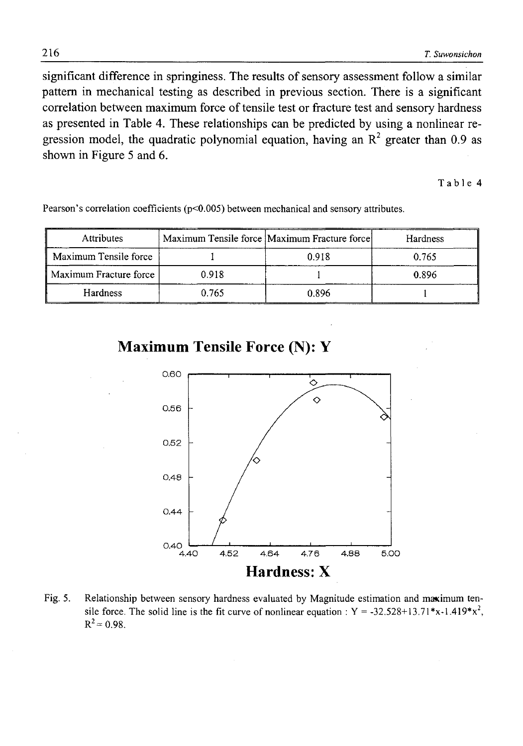significant difference in springiness. The results of sensory assessment follow a similar pattern in mechanical testing as described in previous section. There is a significant correlation between maximum force of tensile test or fracture test and sensory hardness as presented in Table 4. These relationships can be predicted by using a nonlinear regression model, the quadratic polynomial equation, having an  $R^2$  greater than 0.9 as shown in Figure 5 and 6.

Table 4

| Attributes             |       | Maximum Tensile force Maximum Fracture force | <b>Hardness</b> |
|------------------------|-------|----------------------------------------------|-----------------|
| Maximum Tensile force  |       | 0.918                                        | 0.765           |
| Maximum Fracture force | 0.918 |                                              | 0.896           |
| <b>Hardness</b>        | 0.765 | 0.896                                        |                 |

Pearson's correlation coefficients (p<0.005) between mechanical and sensory attributes.

**Maximum Tensile Force (N): Y**



Fig. 5. Relationship between sensory hardness evaluated by Magnitude estimation and maximum tensile force. The solid line is the fit curve of nonlinear equation :  $Y = -32.528 + 13.71 * x - 1.419 * x^2$ ,  $R^2$  = 0.98.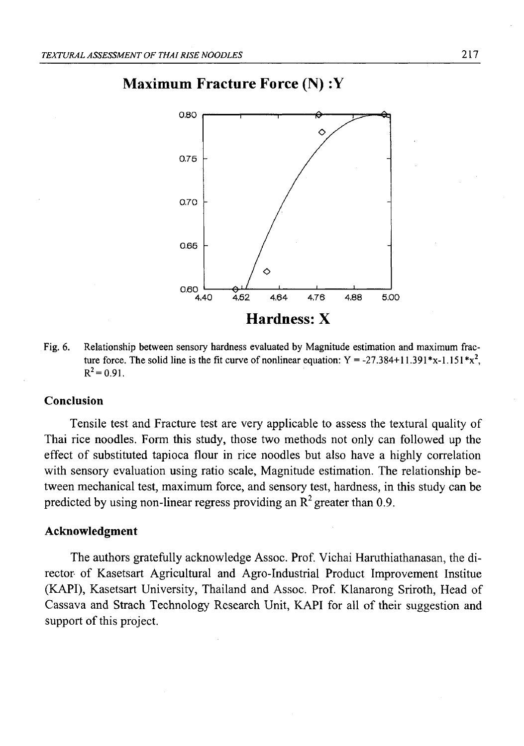# $0.80$  $\Diamond$ 0.75 0.70 0.66 δ 0.60  $4.62$ 4.64 4.76 4.88 5.00 4.40 **Hardness: X**

# **Maximum Fracture Force (N) :Y**

Fig. 6. Relationship between sensory hardness evaluated by Magnitude estimation and maximum fracture force. The solid line is the fit curve of nonlinear equation:  $Y = -27.384+11.391*x$ .  $R^2 = 0.91$ .

### **Conclusion**

Tensile test and Fracture test are very applicable to assess the textural quality of Thai rice noodles. Form this study, those two methods not only can followed up the effect of substituted tapioca flour in rice noodles but also have a highly correlation with sensory evaluation using ratio scale, Magnitude estimation. The relationship between mechanical test, maximum force, and sensory test, hardness, in this study can be predicted by using non-linear regress providing an  $R^2$  greater than 0.9.

#### **Acknowledgment**

The authors gratefully acknowledge Assoc. Prof. Vichai Haruthiathanasan, the director\* of Kasetsart Agricultural and Agro-Industrial Product Improvement Institue (KAPI), Kasetsart University, Thailand and Assoc. Prof. Klanarong Sriroth, Head of Cassava and Strach Technology Research Unit, KAPI for all of their suggestion and support of this project.